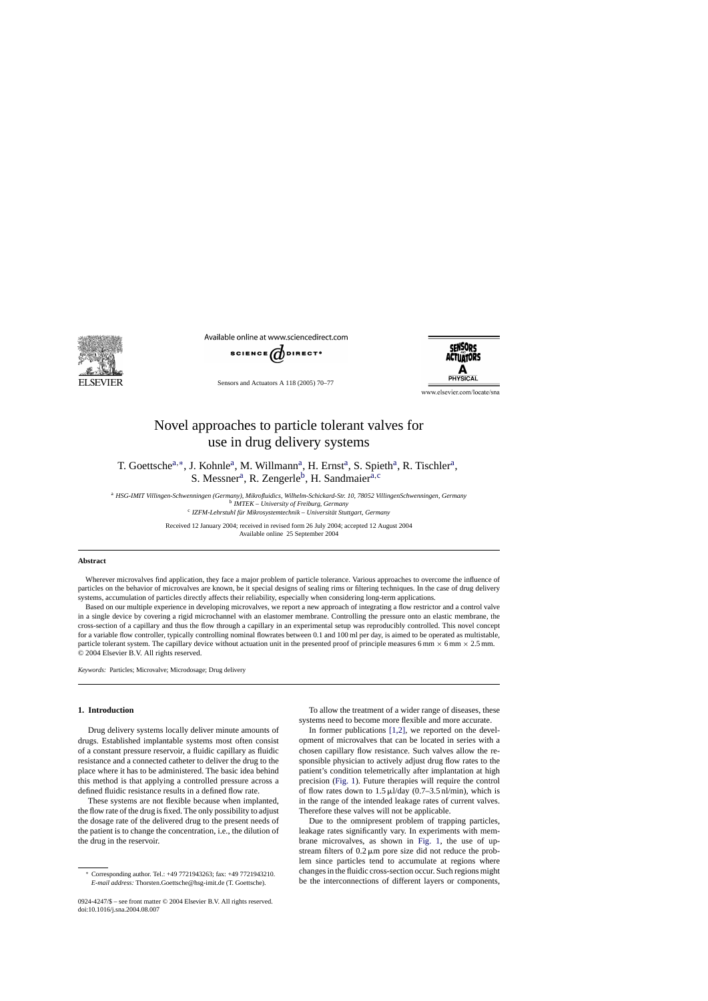

Available online at www.sciencedirect.com



Sensors and Actuators A 118 (2005) 70–77



www.elsevier.com/locate/sna

# Novel approaches to particle tolerant valves for use in drug delivery systems

T. Goettsche<sup>a,∗</sup>, J. Kohnle<sup>a</sup>, M. Willmann<sup>a</sup>, H. Ernst<sup>a</sup>, S. Spieth<sup>a</sup>, R. Tischler<sup>a</sup>, S. Messner<sup>a</sup>, R. Zengerle<sup>b</sup>, H. Sandmaier<sup>a,c</sup>

<sup>a</sup> *HSG-IMIT Villingen-Schwenningen (Germany), Mikrofluidics, Wilhelm-Schickard-Str.10, 78052 VillingenSchwenningen, Germany* <sup>b</sup> *IMTEK – University of Freiburg, Germany*

<sup>c</sup> IZFM-Lehrstuhl für Mikrosystemtechnik – Universität Stuttgart, Germany

Received 12 January 2004; received in revised form 26 July 2004; accepted 12 August 2004 Available online 25 September 2004

#### **Abstract**

Wherever microvalves find application, they face a major problem of particle tolerance. Various approaches to overcome the influence of particles on the behavior of microvalves are known, be it special designs of sealing rims or filtering techniques. In the case of drug delivery systems, accumulation of particles directly affects their reliability, especially when considering long-term applications.

Based on our multiple experience in developing microvalves, we report a new approach of integrating a flow restrictor and a control valve in a single device by covering a rigid microchannel with an elastomer membrane. Controlling the pressure onto an elastic membrane, the cross-section of a capillary and thus the flow through a capillary in an experimental setup was reproducibly controlled. This novel concept for a variable flow controller, typically controlling nominal flowrates between 0.1 and 100 ml per day, is aimed to be operated as multistable, particle tolerant system. The capillary device without actuation unit in the presented proof of principle measures 6 mm  $\times$  6 mm  $\times$  2.5 mm. © 2004 Elsevier B.V. All rights reserved.

*Keywords:* Particles; Microvalve; Microdosage; Drug delivery

## **1. Introduction**

Drug delivery systems locally deliver minute amounts of drugs. Established implantable systems most often consist of a constant pressure reservoir, a fluidic capillary as fluidic resistance and a connected catheter to deliver the drug to the place where it has to be administered. The basic idea behind this method is that applying a controlled pressure across a defined fluidic resistance results in a defined flow rate.

These systems are not flexible because when implanted, the flow rate of the drug is fixed. The only possibility to adjust the dosage rate of the delivered drug to the present needs of the patient is to change the concentration, i.e., the dilution of the drug in the reservoir.

To allow the treatment of a wider range of diseases, these systems need to become more flexible and more accurate.

In former publications [\[1,2\],](#page-6-0) we reported on the development of microvalves that can be located in series with a chosen capillary flow resistance. Such valves allow the responsible physician to actively adjust drug flow rates to the patient's condition telemetrically after implantation at high precision ([Fig. 1\).](#page-1-0) Future therapies will require the control of flow rates down to  $1.5 \mu$ l/day (0.7–3.5 nl/min), which is in the range of the intended leakage rates of current valves. Therefore these valves will not be applicable.

Due to the omnipresent problem of trapping particles, leakage rates significantly vary. In experiments with membrane microvalves, as shown in [Fig. 1,](#page-1-0) the use of upstream filters of  $0.2 \mu m$  pore size did not reduce the problem since particles tend to accumulate at regions where changes in the fluidic cross-section occur. Such regions might be the interconnections of different layers or components,

<sup>∗</sup> Corresponding author. Tel.: +49 7721943263; fax: +49 7721943210. *E-mail address:* Thorsten.Goettsche@hsg-imit.de (T. Goettsche).

<sup>0924-4247/\$ –</sup> see front matter © 2004 Elsevier B.V. All rights reserved. doi:10.1016/j.sna.2004.08.007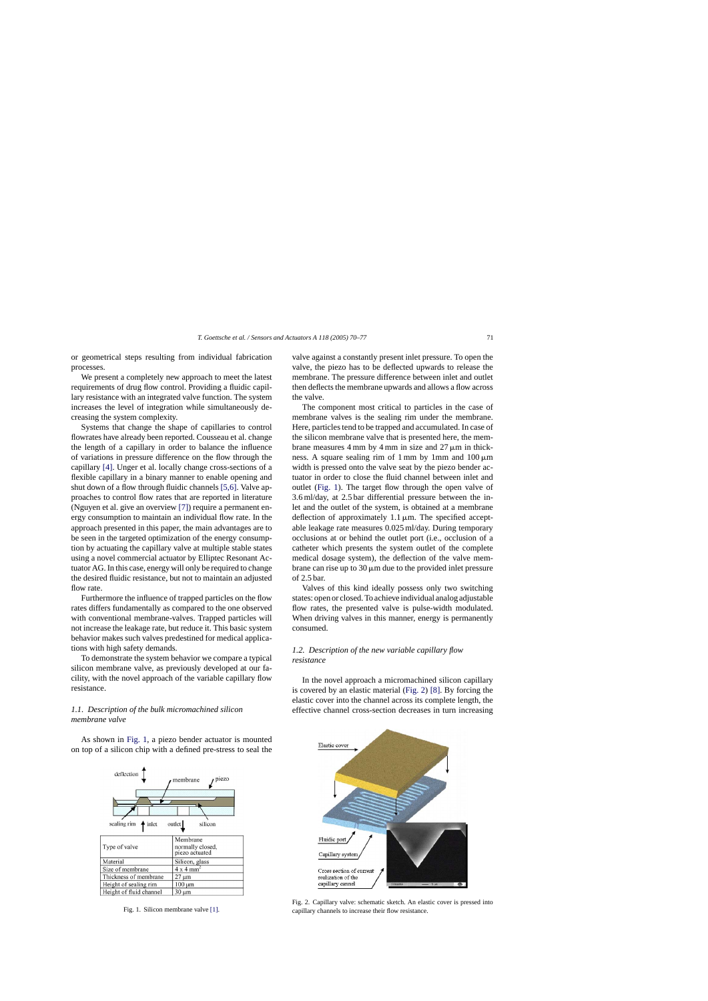<span id="page-1-0"></span>or geometrical steps resulting from individual fabrication processes.

We present a completely new approach to meet the latest requirements of drug flow control. Providing a fluidic capillary resistance with an integrated valve function. The system increases the level of integration while simultaneously decreasing the system complexity.

Systems that change the shape of capillaries to control flowrates have already been reported. Cousseau et al. change the length of a capillary in order to balance the influence of variations in pressure difference on the flow through the capillary [\[4\].](#page-6-0) Unger et al. locally change cross-sections of a flexible capillary in a binary manner to enable opening and shut down of a flow through fluidic channels [\[5,6\]. V](#page-6-0)alve approaches to control flow rates that are reported in literature (Nguyen et al. give an overview [\[7\]\)](#page-6-0) require a permanent energy consumption to maintain an individual flow rate. In the approach presented in this paper, the main advantages are to be seen in the targeted optimization of the energy consumption by actuating the capillary valve at multiple stable states using a novel commercial actuator by Elliptec Resonant Actuator AG. In this case, energy will only be required to change the desired fluidic resistance, but not to maintain an adjusted flow rate.

Furthermore the influence of trapped particles on the flow rates differs fundamentally as compared to the one observed with conventional membrane-valves. Trapped particles will not increase the leakage rate, but reduce it. This basic system behavior makes such valves predestined for medical applications with high safety demands.

To demonstrate the system behavior we compare a typical silicon membrane valve, as previously developed at our facility, with the novel approach of the variable capillary flow resistance.

# *1.1. Description of the bulk micromachined silicon membrane valve*

As shown in Fig. 1, a piezo bender actuator is mounted on top of a silicon chip with a defined pre-stress to seal the



Fig. 1. Silicon membrane valve [\[1\].](#page-6-0)

valve against a constantly present inlet pressure. To open the valve, the piezo has to be deflected upwards to release the membrane. The pressure difference between inlet and outlet then deflects the membrane upwards and allows a flow across the valve.

The component most critical to particles in the case of membrane valves is the sealing rim under the membrane. Here, particles tend to be trapped and accumulated. In case of the silicon membrane valve that is presented here, the membrane measures 4 mm by 4 mm in size and  $27 \mu m$  in thickness. A square sealing rim of 1 mm by 1 mm and  $100 \mu m$ width is pressed onto the valve seat by the piezo bender actuator in order to close the fluid channel between inlet and outlet (Fig. 1). The target flow through the open valve of 3.6 ml/day, at 2.5 bar differential pressure between the inlet and the outlet of the system, is obtained at a membrane deflection of approximately 1.1  $\mu$ m. The specified acceptable leakage rate measures 0.025 ml/day. During temporary occlusions at or behind the outlet port (i.e., occlusion of a catheter which presents the system outlet of the complete medical dosage system), the deflection of the valve membrane can rise up to  $30 \mu m$  due to the provided inlet pressure of 2.5 bar.

Valves of this kind ideally possess only two switching states: open or closed. To achieve individual analog adjustable flow rates, the presented valve is pulse-width modulated. When driving valves in this manner, energy is permanently consumed.

# *1.2. Description of the new variable capillary flow resistance*

In the novel approach a micromachined silicon capillary is covered by an elastic material (Fig. 2) [\[8\]. B](#page-6-0)y forcing the elastic cover into the channel across its complete length, the effective channel cross-section decreases in turn increasing



Fig. 2. Capillary valve: schematic sketch. An elastic cover is pressed into capillary channels to increase their flow resistance.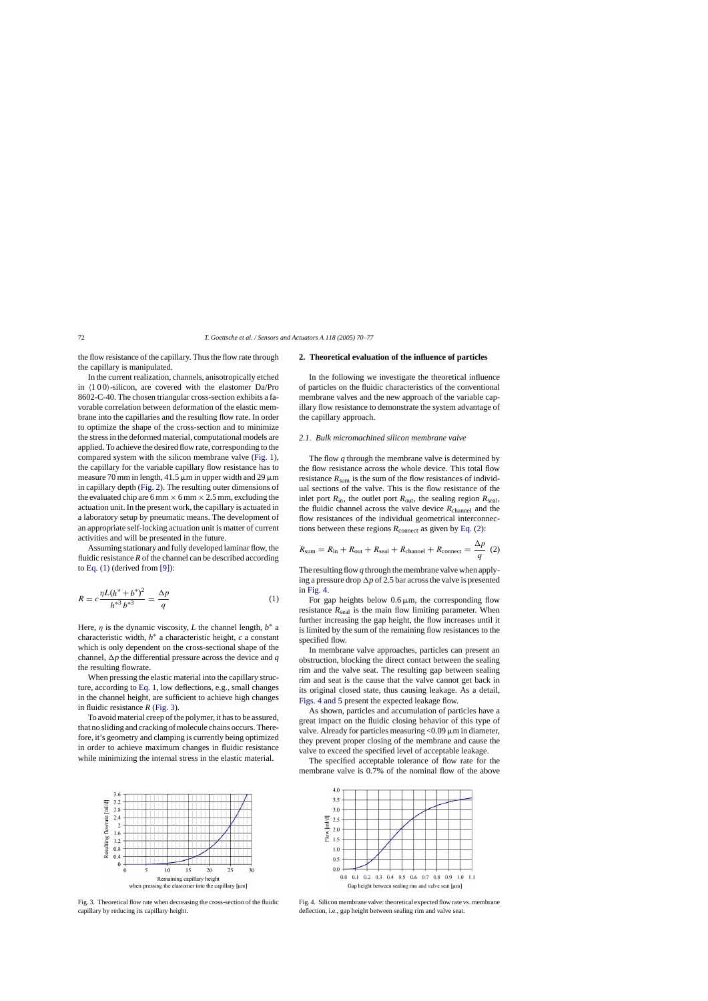the flow resistance of the capillary. Thus the flow rate through the capillary is manipulated.

In the current realization, channels, anisotropically etched in  $(100)$ -silicon, are covered with the elastomer Da/Pro 8602-C-40. The chosen triangular cross-section exhibits a favorable correlation between deformation of the elastic membrane into the capillaries and the resulting flow rate. In order to optimize the shape of the cross-section and to minimize the stress in the deformed material, computational models are applied. To achieve the desired flow rate, corresponding to the compared system with the silicon membrane valve [\(Fig. 1\),](#page-1-0) the capillary for the variable capillary flow resistance has to measure 70 mm in length, 41.5  $\mu$ m in upper width and 29  $\mu$ m in capillary depth [\(Fig. 2\).](#page-1-0) The resulting outer dimensions of the evaluated chip are 6 mm  $\times$  6 mm  $\times$  2.5 mm, excluding the actuation unit. In the present work, the capillary is actuated in a laboratory setup by pneumatic means. The development of an appropriate self-locking actuation unit is matter of current activities and will be presented in the future.

Assuming stationary and fully developed laminar flow, the fluidic resistance  $R$  of the channel can be described according to Eq.  $(1)$  (derived from [\[9\]\):](#page-6-0)

$$
R = c \frac{\eta L (h^* + b^*)^2}{h^{*3} b^{*3}} = \frac{\Delta p}{q}
$$
 (1)

Here,  $\eta$  is the dynamic viscosity, *L* the channel length,  $b^*$  a characteristic width, *h*∗ a characteristic height, *c* a constant which is only dependent on the cross-sectional shape of the channel,  $\Delta p$  the differential pressure across the device and *q* the resulting flowrate.

When pressing the elastic material into the capillary structure, according to Eq. 1, low deflections, e.g., small changes in the channel height, are sufficient to achieve high changes in fluidic resistance *R* (Fig. 3).

To avoid material creep of the polymer, it has to be assured, that no sliding and cracking of molecule chains occurs. Therefore, it's geometry and clamping is currently being optimized in order to achieve maximum changes in fluidic resistance while minimizing the internal stress in the elastic material.



Fig. 3. Theoretical flow rate when decreasing the cross-section of the fluidic capillary by reducing its capillary height.

## **2. Theoretical evaluation of the influence of particles**

In the following we investigate the theoretical influence of particles on the fluidic characteristics of the conventional membrane valves and the new approach of the variable capillary flow resistance to demonstrate the system advantage of the capillary approach.

#### *2.1. Bulk micromachined silicon membrane valve*

The flow *q* through the membrane valve is determined by the flow resistance across the whole device. This total flow resistance  $R_{sum}$  is the sum of the flow resistances of individual sections of the valve. This is the flow resistance of the inlet port  $R_{\text{in}}$ , the outlet port  $R_{\text{out}}$ , the sealing region  $R_{\text{seal}}$ , the fluidic channel across the valve device *R*channel and the flow resistances of the individual geometrical interconnections between these regions  $R_{\text{connect}}$  as given by Eq. (2):

$$
R_{\text{sum}} = R_{\text{in}} + R_{\text{out}} + R_{\text{seal}} + R_{\text{channel}} + R_{\text{connect}} = \frac{\Delta p}{q} \tag{2}
$$

The resulting flow*q* through the membrane valve when applying a pressure drop  $\Delta p$  of 2.5 bar across the valve is presented in Fig. 4.

For gap heights below  $0.6 \mu m$ , the corresponding flow resistance  $R_{\text{seal}}$  is the main flow limiting parameter. When further increasing the gap height, the flow increases until it is limited by the sum of the remaining flow resistances to the specified flow.

In membrane valve approaches, particles can present an obstruction, blocking the direct contact between the sealing rim and the valve seat. The resulting gap between sealing rim and seat is the cause that the valve cannot get back in its original closed state, thus causing leakage. As a detail, Figs. 4 and 5 present the expected leakage flow.

As shown, particles and accumulation of particles have a great impact on the fluidic closing behavior of this type of valve. Already for particles measuring  $< 0.09 \mu m$  in diameter, they prevent proper closing of the membrane and cause the valve to exceed the specified level of acceptable leakage.

The specified acceptable tolerance of flow rate for the membrane valve is 0.7% of the nominal flow of the above



Fig. 4. Silicon membrane valve: theoretical expected flow rate vs. membrane deflection, i.e., gap height between sealing rim and valve seat.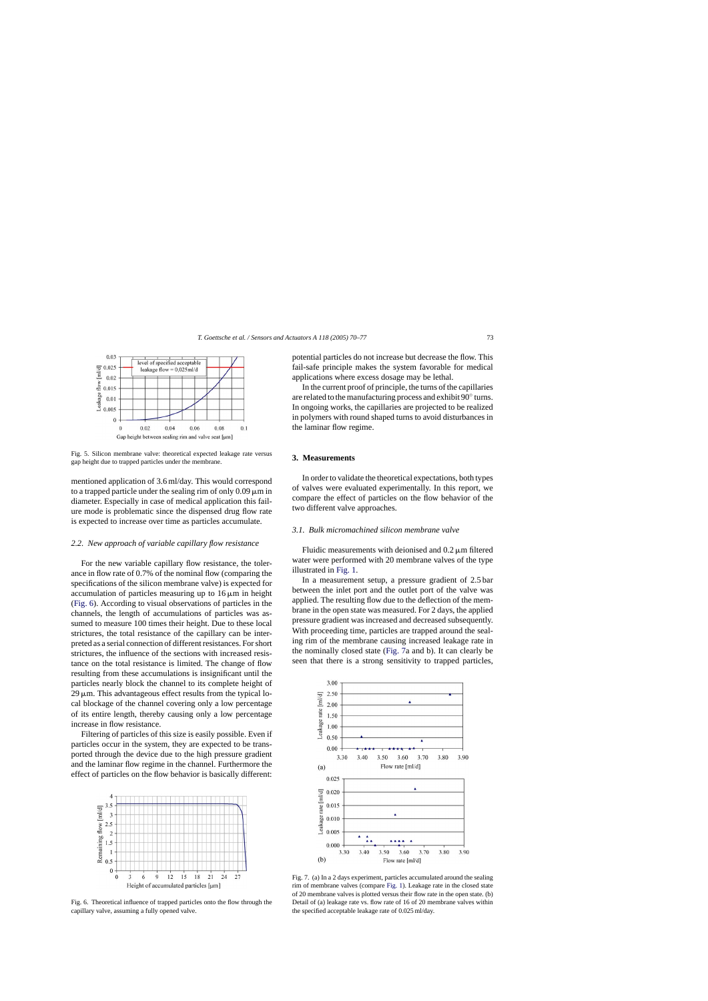<span id="page-3-0"></span>

Fig. 5. Silicon membrane valve: theoretical expected leakage rate versus gap height due to trapped particles under the membrane.

mentioned application of 3.6 ml/day. This would correspond to a trapped particle under the sealing rim of only  $0.09 \mu m$  in diameter. Especially in case of medical application this failure mode is problematic since the dispensed drug flow rate is expected to increase over time as particles accumulate.

#### *2.2. New approach of variable capillary flow resistance*

For the new variable capillary flow resistance, the tolerance in flow rate of 0.7% of the nominal flow (comparing the specifications of the silicon membrane valve) is expected for accumulation of particles measuring up to  $16 \mu m$  in height (Fig. 6). According to visual observations of particles in the channels, the length of accumulations of particles was assumed to measure 100 times their height. Due to these local strictures, the total resistance of the capillary can be interpreted as a serial connection of different resistances. For short strictures, the influence of the sections with increased resistance on the total resistance is limited. The change of flow resulting from these accumulations is insignificant until the particles nearly block the channel to its complete height of  $29 \mu m$ . This advantageous effect results from the typical local blockage of the channel covering only a low percentage of its entire length, thereby causing only a low percentage increase in flow resistance.

Filtering of particles of this size is easily possible. Even if particles occur in the system, they are expected to be transported through the device due to the high pressure gradient and the laminar flow regime in the channel. Furthermore the effect of particles on the flow behavior is basically different:



Fig. 6. Theoretical influence of trapped particles onto the flow through the capillary valve, assuming a fully opened valve.

potential particles do not increase but decrease the flow. This fail-safe principle makes the system favorable for medical applications where excess dosage may be lethal.

In the current proof of principle, the turns of the capillaries are related to the manufacturing process and exhibit 90◦ turns. In ongoing works, the capillaries are projected to be realized in polymers with round shaped turns to avoid disturbances in the laminar flow regime.

### **3. Measurements**

In order to validate the theoretical expectations, both types of valves were evaluated experimentally. In this report, we compare the effect of particles on the flow behavior of the two different valve approaches.

#### *3.1. Bulk micromachined silicon membrane valve*

Fluidic measurements with deionised and  $0.2 \mu m$  filtered water were performed with 20 membrane valves of the type illustrated in [Fig. 1.](#page-1-0)

In a measurement setup, a pressure gradient of 2.5 bar between the inlet port and the outlet port of the valve was applied. The resulting flow due to the deflection of the membrane in the open state was measured. For 2 days, the applied pressure gradient was increased and decreased subsequently. With proceeding time, particles are trapped around the sealing rim of the membrane causing increased leakage rate in the nominally closed state (Fig. 7a and b). It can clearly be seen that there is a strong sensitivity to trapped particles,



Fig. 7. (a) In a 2 days experiment, particles accumulated around the sealing rim of membrane valves (compare [Fig. 1\).](#page-1-0) Leakage rate in the closed state of 20 membrane valves is plotted versus their flow rate in the open state. (b) Detail of (a) leakage rate vs. flow rate of 16 of 20 membrane valves within the specified acceptable leakage rate of 0.025 ml/day.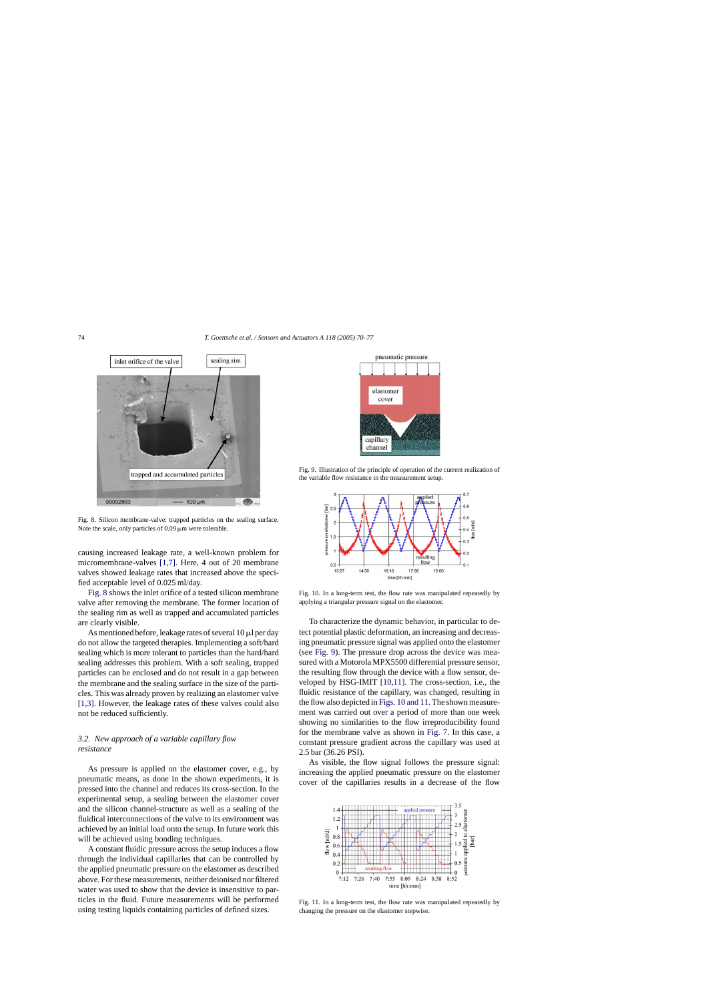<span id="page-4-0"></span>

Fig. 8. Silicon membrane-valve: trapped particles on the sealing surface. Note the scale, only particles of  $0.09 \mu m$  were tolerable.

causing increased leakage rate, a well-known problem for micromembrane-valves [\[1,7\].](#page-6-0) Here, 4 out of 20 membrane valves showed leakage rates that increased above the specified acceptable level of 0.025 ml/day.

Fig. 8 shows the inlet orifice of a tested silicon membrane valve after removing the membrane. The former location of the sealing rim as well as trapped and accumulated particles are clearly visible.

As mentioned before, leakage rates of several  $10 \mu$ l per day do not allow the targeted therapies. Implementing a soft/hard sealing which is more tolerant to particles than the hard/hard sealing addresses this problem. With a soft sealing, trapped particles can be enclosed and do not result in a gap between the membrane and the sealing surface in the size of the particles. This was already proven by realizing an elastomer valve [\[1,3\].](#page-6-0) However, the leakage rates of these valves could also not be reduced sufficiently.

# *3.2. New approach of a variable capillary flow resistance*

As pressure is applied on the elastomer cover, e.g., by pneumatic means, as done in the shown experiments, it is pressed into the channel and reduces its cross-section. In the experimental setup, a sealing between the elastomer cover and the silicon channel-structure as well as a sealing of the fluidical interconnections of the valve to its environment was achieved by an initial load onto the setup. In future work this will be achieved using bonding techniques.

A constant fluidic pressure across the setup induces a flow through the individual capillaries that can be controlled by the applied pneumatic pressure on the elastomer as described above. For these measurements, neither deionised nor filtered water was used to show that the device is insensitive to particles in the fluid. Future measurements will be performed using testing liquids containing particles of defined sizes.



Fig. 9. Illustration of the principle of operation of the current realization of the variable flow resistance in the measurement setup.



Fig. 10. In a long-term test, the flow rate was manipulated repeatedly by applying a triangular pressure signal on the elastomer.

To characterize the dynamic behavior, in particular to detect potential plastic deformation, an increasing and decreasing pneumatic pressure signal was applied onto the elastomer (see Fig. 9). The pressure drop across the device was measured with a Motorola MPX5500 differential pressure sensor, the resulting flow through the device with a flow sensor, developed by HSG-IMIT [\[10,11\].](#page-6-0) The cross-section, i.e., the fluidic resistance of the capillary, was changed, resulting in the flow also depicted in Figs. 10 and 11. The shown measurement was carried out over a period of more than one week showing no similarities to the flow irreproducibility found for the membrane valve as shown in [Fig. 7.](#page-3-0) In this case, a constant pressure gradient across the capillary was used at 2.5 bar (36.26 PSI).

As visible, the flow signal follows the pressure signal: increasing the applied pneumatic pressure on the elastomer cover of the capillaries results in a decrease of the flow



Fig. 11. In a long-term test, the flow rate was manipulated repeatedly by changing the pressure on the elastomer stepwise.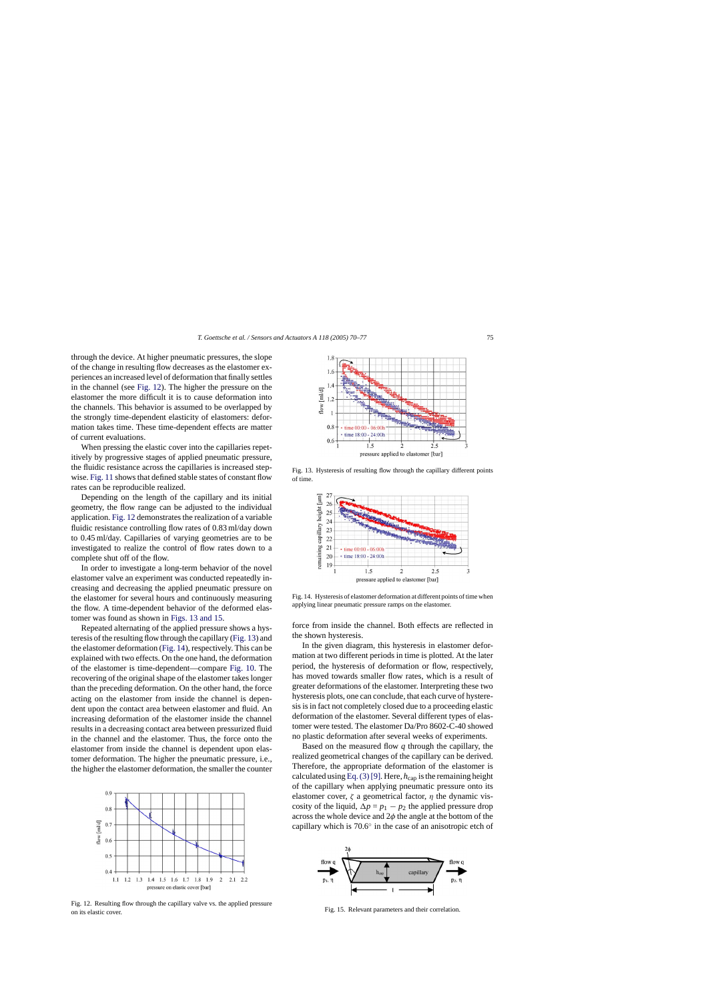<span id="page-5-0"></span>through the device. At higher pneumatic pressures, the slope of the change in resulting flow decreases as the elastomer experiences an increased level of deformation that finally settles in the channel (see Fig. 12). The higher the pressure on the elastomer the more difficult it is to cause deformation into the channels. This behavior is assumed to be overlapped by the strongly time-dependent elasticity of elastomers: deformation takes time. These time-dependent effects are matter of current evaluations.

When pressing the elastic cover into the capillaries repetitively by progressive stages of applied pneumatic pressure, the fluidic resistance across the capillaries is increased stepwise. [Fig. 11](#page-4-0) shows that defined stable states of constant flow rates can be reproducible realized.

Depending on the length of the capillary and its initial geometry, the flow range can be adjusted to the individual application. Fig. 12 demonstrates the realization of a variable fluidic resistance controlling flow rates of 0.83 ml/day down to 0.45 ml/day. Capillaries of varying geometries are to be investigated to realize the control of flow rates down to a complete shut off of the flow.

In order to investigate a long-term behavior of the novel elastomer valve an experiment was conducted repeatedly increasing and decreasing the applied pneumatic pressure on the elastomer for several hours and continuously measuring the flow. A time-dependent behavior of the deformed elastomer was found as shown in Figs. 13 and 15.

Repeated alternating of the applied pressure shows a hysteresis of the resulting flow through the capillary (Fig. 13) and the elastomer deformation (Fig. 14), respectively. This can be explained with two effects. On the one hand, the deformation of the elastomer is time-dependent—compare [Fig. 10.](#page-4-0) The recovering of the original shape of the elastomer takes longer than the preceding deformation. On the other hand, the force acting on the elastomer from inside the channel is dependent upon the contact area between elastomer and fluid. An increasing deformation of the elastomer inside the channel results in a decreasing contact area between pressurized fluid in the channel and the elastomer. Thus, the force onto the elastomer from inside the channel is dependent upon elastomer deformation. The higher the pneumatic pressure, i.e., the higher the elastomer deformation, the smaller the counter



Fig. 12. Resulting flow through the capillary valve vs. the applied pressure on its elastic cover.



Fig. 13. Hysteresis of resulting flow through the capillary different points of time.



Fig. 14. Hysteresis of elastomer deformation at different points of time when applying linear pneumatic pressure ramps on the elastomer.

force from inside the channel. Both effects are reflected in the shown hysteresis.

In the given diagram, this hysteresis in elastomer deformation at two different periods in time is plotted. At the later period, the hysteresis of deformation or flow, respectively, has moved towards smaller flow rates, which is a result of greater deformations of the elastomer. Interpreting these two hysteresis plots, one can conclude, that each curve of hysteresis is in fact not completely closed due to a proceeding elastic deformation of the elastomer. Several different types of elastomer were tested. The elastomer Da/Pro 8602-C-40 showed no plastic deformation after several weeks of experiments.

Based on the measured flow *q* through the capillary, the realized geometrical changes of the capillary can be derived. Therefore, the appropriate deformation of the elastomer is calculated using [Eq. \(3\) \[9\]. H](#page-6-0)ere,  $h_{cap}$  is the remaining height of the capillary when applying pneumatic pressure onto its elastomer cover,  $\zeta$  a geometrical factor,  $\eta$  the dynamic viscosity of the liquid,  $\Delta p = p_1 - p_2$  the applied pressure drop across the whole device and  $2\phi$  the angle at the bottom of the capillary which is 70.6◦ in the case of an anisotropic etch of



Fig. 15. Relevant parameters and their correlation.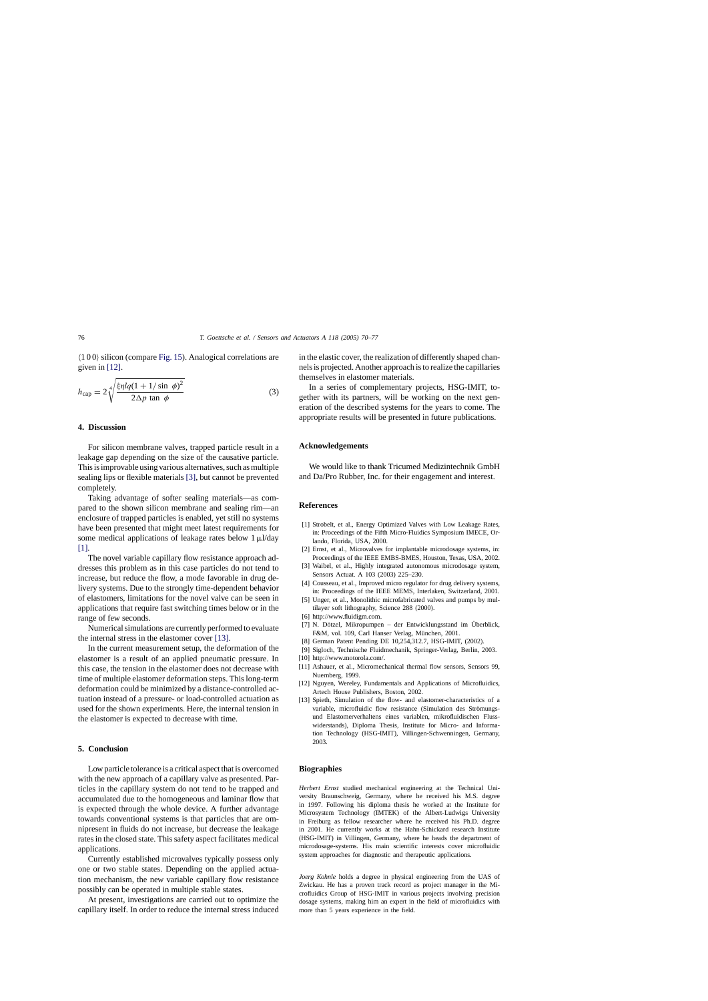<span id="page-6-0"></span> $(100)$  silicon (compare [Fig. 15\).](#page-5-0) Analogical correlations are given in [12].

$$
h_{\rm cap} = 2\sqrt[4]{\frac{\xi \eta l q (1 + 1/\sin \phi)^2}{2\Delta p \tan \phi}}
$$
(3)

## **4. Discussion**

For silicon membrane valves, trapped particle result in a leakage gap depending on the size of the causative particle. This is improvable using various alternatives, such as multiple sealing lips or flexible materials [3], but cannot be prevented completely.

Taking advantage of softer sealing materials—as compared to the shown silicon membrane and sealing rim—an enclosure of trapped particles is enabled, yet still no systems have been presented that might meet latest requirements for some medical applications of leakage rates below  $1 \mu$ l/day [1].

The novel variable capillary flow resistance approach addresses this problem as in this case particles do not tend to increase, but reduce the flow, a mode favorable in drug delivery systems. Due to the strongly time-dependent behavior of elastomers, limitations for the novel valve can be seen in applications that require fast switching times below or in the range of few seconds.

Numerical simulations are currently performed to evaluate the internal stress in the elastomer cover [13].

In the current measurement setup, the deformation of the elastomer is a result of an applied pneumatic pressure. In this case, the tension in the elastomer does not decrease with time of multiple elastomer deformation steps. This long-term deformation could be minimized by a distance-controlled actuation instead of a pressure- or load-controlled actuation as used for the shown experiments. Here, the internal tension in the elastomer is expected to decrease with time.

#### **5. Conclusion**

Low particle tolerance is a critical aspect that is overcomed with the new approach of a capillary valve as presented. Particles in the capillary system do not tend to be trapped and accumulated due to the homogeneous and laminar flow that is expected through the whole device. A further advantage towards conventional systems is that particles that are omnipresent in fluids do not increase, but decrease the leakage rates in the closed state. This safety aspect facilitates medical applications.

Currently established microvalves typically possess only one or two stable states. Depending on the applied actuation mechanism, the new variable capillary flow resistance possibly can be operated in multiple stable states.

At present, investigations are carried out to optimize the capillary itself. In order to reduce the internal stress induced in the elastic cover, the realization of differently shaped channels is projected. Another approach is to realize the capillaries themselves in elastomer materials.

In a series of complementary projects, HSG-IMIT, together with its partners, will be working on the next generation of the described systems for the years to come. The appropriate results will be presented in future publications.

#### **Acknowledgements**

We would like to thank Tricumed Medizintechnik GmbH and Da/Pro Rubber, Inc. for their engagement and interest.

#### **References**

- [1] Strobelt, et al., Energy Optimized Valves with Low Leakage Rates, in: Proceedings of the Fifth Micro-Fluidics Symposium IMECE, Orlando, Florida, USA, 2000.
- [2] Ernst, et al., Microvalves for implantable microdosage systems, in: Proceedings of the IEEE EMBS-BMES, Houston, Texas, USA, 2002.
- [3] Waibel, et al., Highly integrated autonomous microdosage system, Sensors Actuat. A 103 (2003) 225–230.
- [4] Cousseau, et al., Improved micro regulator for drug delivery systems, in: Proceedings of the IEEE MEMS, Interlaken, Switzerland, 2001.
- [5] Unger, et al., Monolithic microfabricated valves and pumps by multilayer soft lithography, Science 288 (2000).
- [6] http://www.fluidigm.com.
- [7] N. Dötzel, Mikropumpen der Entwicklungsstand im Überblick, F&M, vol. 109, Carl Hanser Verlag, München, 2001.
- [8] German Patent Pending DE 10,254,312.7, HSG-IMIT, (2002).
- [9] Sigloch, Technische Fluidmechanik, Springer-Verlag, Berlin, 2003.
- [10] http://www.motorola.com/.
- [11] Ashauer, et al., Micromechanical thermal flow sensors, Sensors 99, Nuernberg, 1999.
- [12] Nguyen, Wereley, Fundamentals and Applications of Microfluidics, Artech House Publishers, Boston, 2002.
- [13] Spieth, Simulation of the flow- and elastomer-characteristics of a variable, microfluidic flow resistance (Simulation des Strömungsund Elastomerverhaltens eines variablen, mikrofluidischen Flusswiderstands), Diploma Thesis, Institute for Micro- and Information Technology (HSG-IMIT), Villingen-Schwenningen, Germany, 2003.

### **Biographies**

*Herbert Ernst* studied mechanical engineering at the Technical University Braunschweig, Germany, where he received his M.S. degree in 1997. Following his diploma thesis he worked at the Institute for Microsystem Technology (IMTEK) of the Albert-Ludwigs University in Freiburg as fellow researcher where he received his Ph.D. degree in 2001. He currently works at the Hahn-Schickard research Institute (HSG-IMIT) in Villingen, Germany, where he heads the department of microdosage-systems. His main scientific interests cover microfluidic system approaches for diagnostic and therapeutic applications.

*Joerg Kohnle* holds a degree in physical engineering from the UAS of Zwickau. He has a proven track record as project manager in the Microfluidics Group of HSG-IMIT in various projects involving precision dosage systems, making him an expert in the field of microfluidics with more than 5 years experience in the field.